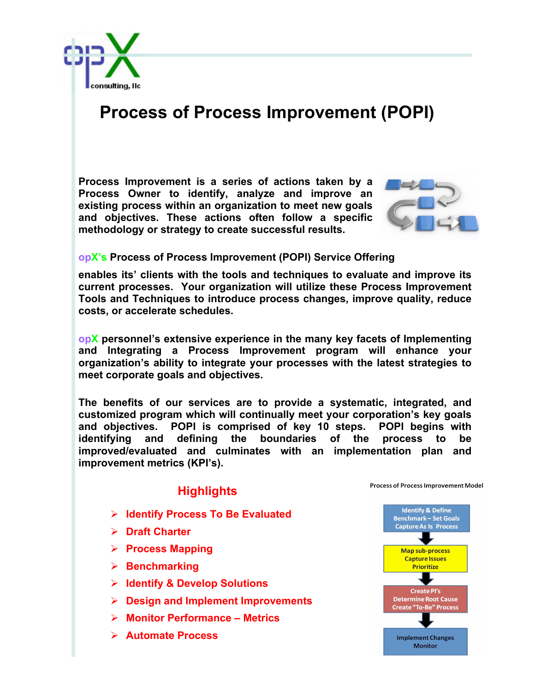

## **Process of Process Improvement (POPI)**

**Process Improvement is a series of actions taken by a Process Owner to identify, analyze and improve an existing process within an organization to meet new goals and objectives. These actions often follow a specific methodology or strategy to create successful results.**



## **opX's Process of Process Improvement (POPI) Service Offering**

**enables its' clients with the tools and techniques to evaluate and improve its current processes. Your organization will utilize these Process Improvement Tools and Techniques to introduce process changes, improve quality, reduce costs, or accelerate schedules.**

**opX personnel's extensive experience in the many key facets of Implementing and Integrating a Process Improvement program will enhance your organization's ability to integrate your processes with the latest strategies to meet corporate goals and objectives.** 

**The benefits of our services are to provide a systematic, integrated, and customized program which will continually meet your corporation's key goals and objectives. POPI is comprised of key 10 steps. POPI begins with identifying and defining the boundaries of the process to be improved/evaluated and culminates with an implementation plan and improvement metrics (KPI's).** 

## **Highlights**

- Ø **Identify Process To Be Evaluated**
- Ø **Draft Charter**
- Ø **Process Mapping**
- Ø **Benchmarking**
- Ø **Identify & Develop Solutions**
- Ø **Design and Implement Improvements**
- Ø **Monitor Performance – Metrics**
- Ø **Automate Process**



Process of Process Improvement Model